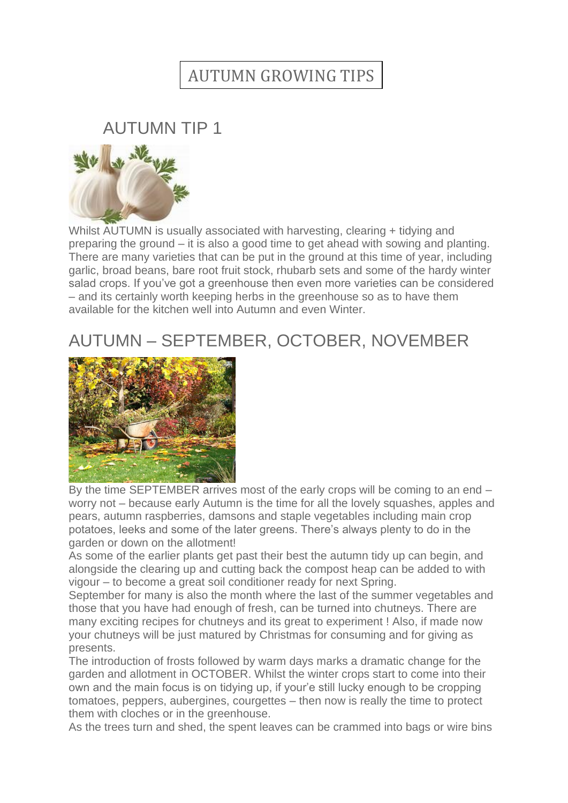## AUTUMN GROWING TIPS

## AUTUMN TIP 1



Whilst AUTUMN is usually associated with harvesting, clearing + tidying and preparing the ground – it is also a good time to get ahead with sowing and planting. There are many varieties that can be put in the ground at this time of year, including garlic, broad beans, bare root fruit stock, rhubarb sets and some of the hardy winter salad crops. If you've got a greenhouse then even more varieties can be considered – and its certainly worth keeping herbs in the greenhouse so as to have them available for the kitchen well into Autumn and even Winter.

## AUTUMN – SEPTEMBER, OCTOBER, NOVEMBER



By the time SEPTEMBER arrives most of the early crops will be coming to an end – worry not – because early Autumn is the time for all the lovely squashes, apples and pears, autumn raspberries, damsons and staple vegetables including main crop potatoes, leeks and some of the later greens. There's always plenty to do in the garden or down on the allotment!

As some of the earlier plants get past their best the autumn tidy up can begin, and alongside the clearing up and cutting back the compost heap can be added to with vigour – to become a great soil conditioner ready for next Spring.

September for many is also the month where the last of the summer vegetables and those that you have had enough of fresh, can be turned into chutneys. There are many exciting recipes for chutneys and its great to experiment ! Also, if made now your chutneys will be just matured by Christmas for consuming and for giving as presents.

The introduction of frosts followed by warm days marks a dramatic change for the garden and allotment in OCTOBER. Whilst the winter crops start to come into their own and the main focus is on tidying up, if your'e still lucky enough to be cropping tomatoes, peppers, aubergines, courgettes – then now is really the time to protect them with cloches or in the greenhouse.

As the trees turn and shed, the spent leaves can be crammed into bags or wire bins